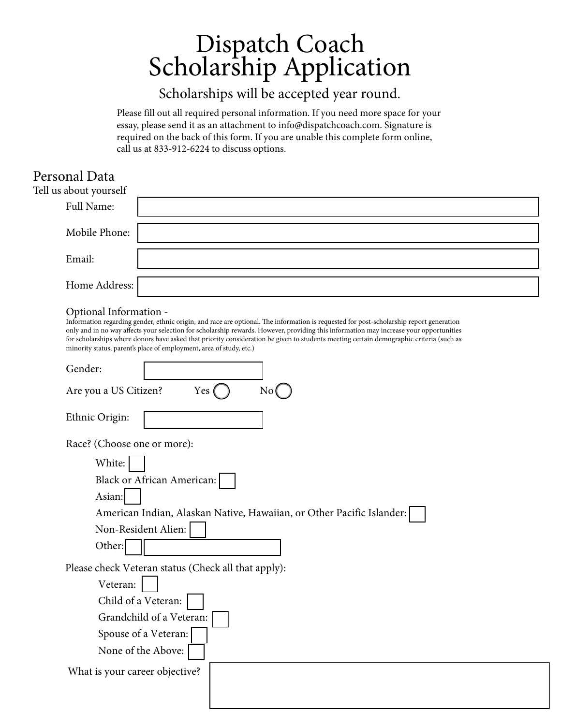# Dispatch Coach Scholarship Application

## Scholarships will be accepted year round.

Please fill out all required personal information. If you need more space for your essay, please send it as an attachment to info@dispatchcoach.com. Signature is required on the back of this form. If you are unable this complete form online, call us at 833-912-6224 to discuss options.

### Personal Data

Grandchild of a Veteran:

Spouse of a Veteran: None of the Above:

What is your career objective?

| I CISOIIAI D'Ata<br>Tell us about yourself                                                                                                                                                                                                                                                                                                                                                                                                                                                                                    |
|-------------------------------------------------------------------------------------------------------------------------------------------------------------------------------------------------------------------------------------------------------------------------------------------------------------------------------------------------------------------------------------------------------------------------------------------------------------------------------------------------------------------------------|
| Full Name:                                                                                                                                                                                                                                                                                                                                                                                                                                                                                                                    |
| Mobile Phone:                                                                                                                                                                                                                                                                                                                                                                                                                                                                                                                 |
| Email:                                                                                                                                                                                                                                                                                                                                                                                                                                                                                                                        |
| Home Address:                                                                                                                                                                                                                                                                                                                                                                                                                                                                                                                 |
| Optional Information -<br>Information regarding gender, ethnic origin, and race are optional. The information is requested for post-scholarship report generation<br>only and in no way affects your selection for scholarship rewards. However, providing this information may increase your opportunities<br>for scholarships where donors have asked that priority consideration be given to students meeting certain demographic criteria (such as<br>minority status, parent's place of employment, area of study, etc.) |
| Gender:                                                                                                                                                                                                                                                                                                                                                                                                                                                                                                                       |
| Yes<br>No(<br>Are you a US Citizen?                                                                                                                                                                                                                                                                                                                                                                                                                                                                                           |
| Ethnic Origin:                                                                                                                                                                                                                                                                                                                                                                                                                                                                                                                |
| Race? (Choose one or more):                                                                                                                                                                                                                                                                                                                                                                                                                                                                                                   |
| White:                                                                                                                                                                                                                                                                                                                                                                                                                                                                                                                        |
| <b>Black or African American:</b>                                                                                                                                                                                                                                                                                                                                                                                                                                                                                             |
| Asian:                                                                                                                                                                                                                                                                                                                                                                                                                                                                                                                        |
| American Indian, Alaskan Native, Hawaiian, or Other Pacific Islander:                                                                                                                                                                                                                                                                                                                                                                                                                                                         |
| Non-Resident Alien:                                                                                                                                                                                                                                                                                                                                                                                                                                                                                                           |
| Other:                                                                                                                                                                                                                                                                                                                                                                                                                                                                                                                        |
| Please check Veteran status (Check all that apply):                                                                                                                                                                                                                                                                                                                                                                                                                                                                           |
| Veteran:                                                                                                                                                                                                                                                                                                                                                                                                                                                                                                                      |
| Child of a Veteran:                                                                                                                                                                                                                                                                                                                                                                                                                                                                                                           |
|                                                                                                                                                                                                                                                                                                                                                                                                                                                                                                                               |